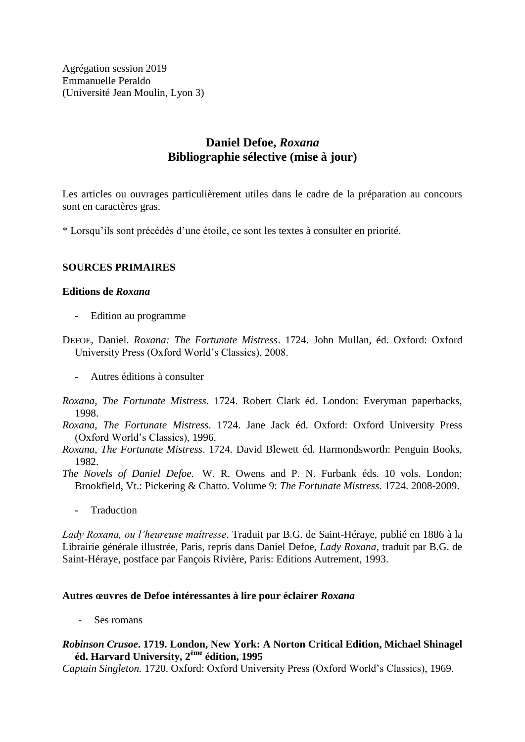Agrégation session 2019 Emmanuelle Peraldo (Université Jean Moulin, Lyon 3)

# **Daniel Defoe,** *Roxana* **Bibliographie sélective (mise à jour)**

Les articles ou ouvrages particulièrement utiles dans le cadre de la préparation au concours sont en caractères gras.

\* Lorsqu'ils sont précédés d'une étoile, ce sont les textes à consulter en priorité.

## **SOURCES PRIMAIRES**

### **Editions de** *Roxana*

- Edition au programme
- DEFOE, Daniel. *Roxana: The Fortunate Mistress*. 1724. John Mullan, éd. Oxford: Oxford University Press (Oxford World's Classics), 2008.
	- Autres éditions à consulter
- *Roxana, The Fortunate Mistress*. 1724. Robert Clark éd. London: Everyman paperbacks, 1998.
- *Roxana, The Fortunate Mistress*. 1724. Jane Jack éd. Oxford: Oxford University Press (Oxford World's Classics), 1996.
- *Roxana, The Fortunate Mistress*. 1724. David Blewett éd. Harmondsworth: Penguin Books, 1982.

*The Novels of Daniel Defoe.* W. R. Owens and P. N. Furbank éds. 10 vols. London; Brookfield, Vt.: Pickering & Chatto. Volume 9: *The Fortunate Mistress*. 1724. 2008-2009.

- Traduction

*Lady Roxana, ou l'heureuse maîtresse*. Traduit par B.G. de Saint-Héraye, publié en 1886 à la Librairie générale illustrée, Paris, repris dans Daniel Defoe, *Lady Roxana*, traduit par B.G. de Saint-Héraye, postface par Fançois Rivière, Paris: Editions Autrement, 1993.

### **Autres œuvres de Defoe intéressantes à lire pour éclairer** *Roxana*

*-* Ses romans

## *Robinson Crusoe***. 1719. London, New York: A Norton Critical Edition, Michael Shinagel éd. Harvard University, 2ème édition, 1995**

*Captain Singleton.* 1720. Oxford: Oxford University Press (Oxford World's Classics), 1969.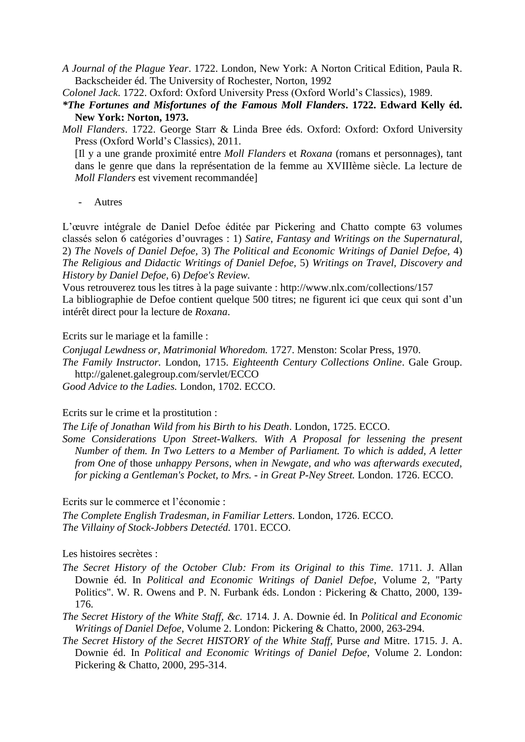*A Journal of the Plague Year*. 1722. London, New York: A Norton Critical Edition, Paula R. Backscheider éd. The University of Rochester, Norton, 1992

*Colonel Jack*. 1722. Oxford: Oxford University Press (Oxford World's Classics), 1989.

*\*The Fortunes and Misfortunes of the Famous Moll Flanders***. 1722. Edward Kelly éd. New York: Norton, 1973.**

*Moll Flanders*. 1722. George Starr & Linda Bree éds. Oxford: Oxford: Oxford University Press (Oxford World's Classics), 2011.

[Il y a une grande proximité entre *Moll Flanders* et *Roxana* (romans et personnages), tant dans le genre que dans la représentation de la femme au XVIIIème siècle. La lecture de *Moll Flanders* est vivement recommandée]

*-* Autres

L'œuvre intégrale de Daniel Defoe éditée par Pickering and Chatto compte 63 volumes classés selon 6 catégories d'ouvrages : 1) *Satire, Fantasy and Writings on the Supernatural,* 2) *The Novels of Daniel Defoe,* 3) *The Political and Economic Writings of Daniel Defoe,* 4) *The Religious and Didactic Writings of Daniel Defoe,* 5) *Writings on Travel, Discovery and History by Daniel Defoe,* 6) *Defoe's Review.*

Vous retrouverez tous les titres à la page suivante : http://www.nlx.com/collections/157 La bibliographie de Defoe contient quelque 500 titres; ne figurent ici que ceux qui sont d'un intérêt direct pour la lecture de *Roxana*.

Ecrits sur le mariage et la famille :

*Conjugal Lewdness or, Matrimonial Whoredom.* 1727. Menston: Scolar Press, 1970. *The Family Instructor.* London, 1715. *Eighteenth Century Collections Online*. Gale Group. http://galenet.galegroup.com/servlet/ECCO

*Good Advice to the Ladies.* London, 1702. ECCO.

#### Ecrits sur le crime et la prostitution :

*The Life of Jonathan Wild from his Birth to his Death*. London, 1725. ECCO.

*Some Considerations Upon Street-Walkers. With A Proposal for lessening the present Number of them. In Two Letters to a Member of Parliament. To which is added, A letter from One of* those *unhappy Persons, when in Newgate, and who was afterwards executed, for picking a Gentleman's Pocket, to Mrs. - in Great P-Ney Street.* London. 1726. ECCO.

Ecrits sur le commerce et l'économie :

*The Complete English Tradesman, in Familiar Letters.* London, 1726. ECCO. *The Villainy of Stock-Jobbers Detectéd.* 1701. ECCO.

#### Les histoires secrètes :

- *The Secret History of the October Club: From its Original to this Time*. 1711. J. Allan Downie éd. In *Political and Economic Writings of Daniel Defoe*, Volume 2, "Party Politics". W. R. Owens and P. N. Furbank éds. London : Pickering & Chatto, 2000, 139- 176.
- *The Secret History of the White Staff, &c.* 1714. J. A. Downie éd. In *Political and Economic Writings of Daniel Defoe*, Volume 2. London: Pickering & Chatto, 2000, 263-294.
- *The Secret History of the Secret HISTORY of the White Staff,* Purse *and* Mitre. 1715. J. A. Downie éd. In *Political and Economic Writings of Daniel Defoe*, Volume 2. London: Pickering & Chatto, 2000, 295-314.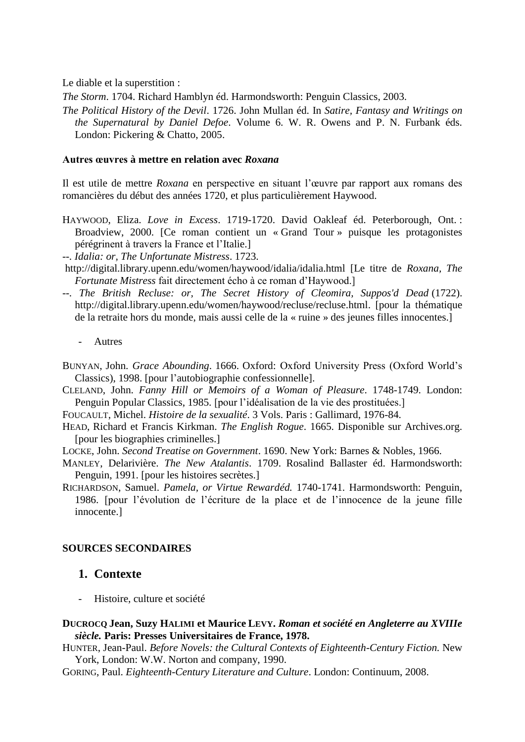Le diable et la superstition :

*The Storm*. 1704. Richard Hamblyn éd. Harmondsworth: Penguin Classics, 2003.

*The Political History of the Devil*. 1726. John Mullan éd. In *Satire, Fantasy and Writings on the Supernatural by Daniel Defoe*. Volume 6. W. R. Owens and P. N. Furbank éds. London: Pickering & Chatto, 2005.

### **Autres œuvres à mettre en relation avec** *Roxana*

Il est utile de mettre *Roxana* en perspective en situant l'œuvre par rapport aux romans des romancières du début des années 1720, et plus particulièrement Haywood.

- HAYWOOD, Eliza. *Love in Excess*. 1719-1720. David Oakleaf éd. Peterborough, Ont. : Broadview, 2000. [Ce roman contient un « Grand Tour » puisque les protagonistes pérégrinent à travers la France et l'Italie.]
- *--. Idalia: or, The Unfortunate Mistress*. 1723.
- <http://digital.library.upenn.edu/women/haywood/idalia/idalia.html> [Le titre de *Roxana, The Fortunate Mistress* fait directement écho à ce roman d'Haywood.]
- *--. The British Recluse: or, The Secret History of Cleomira, Suppos'd Dead* (1722). [http://digital.library.upenn.edu/women/haywood/recluse/recluse.html.](http://digital.library.upenn.edu/women/haywood/recluse/recluse.html) [pour la thématique de la retraite hors du monde, mais aussi celle de la « ruine » des jeunes filles innocentes.]
	- *-* Autres
- BUNYAN, John. *Grace Abounding*. 1666. Oxford: Oxford University Press (Oxford World's Classics), 1998. [pour l'autobiographie confessionnelle].
- CLELAND, John. *Fanny Hill or Memoirs of a Woman of Pleasure*. 1748-1749. London: Penguin Popular Classics, 1985. [pour l'idéalisation de la vie des prostituées.]
- FOUCAULT, Michel. *Histoire de la sexualité*. 3 Vols. Paris : Gallimard, 1976-84.
- HEAD, Richard et Francis Kirkman. *The English Rogue*. 1665. Disponible sur Archives.org. [pour les biographies criminelles.]
- LOCKE, John. *Second Treatise on Government*. 1690. New York: Barnes & Nobles, 1966.
- MANLEY, Delarivière. *The New Atalantis*. 1709. Rosalind Ballaster éd. Harmondsworth: Penguin, 1991. [pour les histoires secrètes.]
- RICHARDSON, Samuel. *Pamela, or Virtue Rewardéd.* 1740-1741. Harmondsworth: Penguin, 1986. [pour l'évolution de l'écriture de la place et de l'innocence de la jeune fille innocente.]

### **SOURCES SECONDAIRES**

# **1. Contexte**

*-* Histoire, culture et société

### **DUCROCQ Jean, Suzy HALIMI et Maurice LEVY.** *Roman et société en Angleterre au XVIIIe siècle.* **Paris: Presses Universitaires de France, 1978.**

HUNTER, Jean-Paul. *Before Novels: the Cultural Contexts of Eighteenth-Century Fiction.* New York, London: W.W. Norton and company, 1990.

GORING, Paul. *Eighteenth-Century Literature and Culture*. London: Continuum, 2008.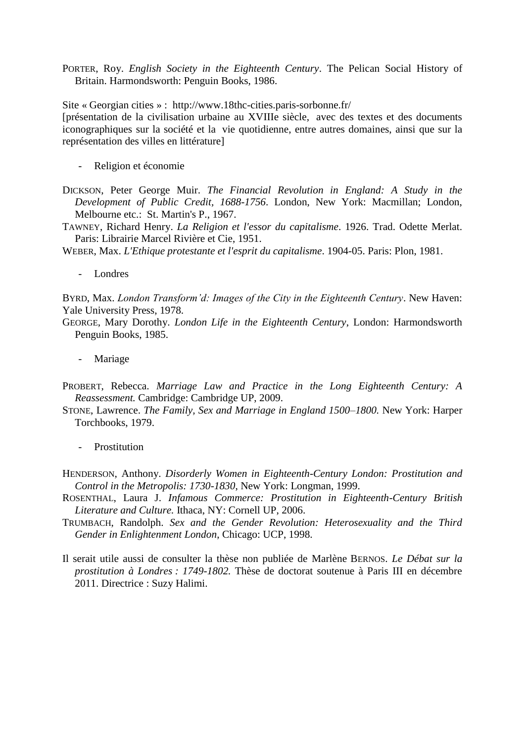PORTER, Roy. *English Society in the Eighteenth Century*. The Pelican Social History of Britain. Harmondsworth: Penguin Books, 1986.

Site « Georgian cities » : http://www.18thc-cities.paris-sorbonne.fr/

[présentation de la civilisation urbaine au XVIIIe siècle, avec des textes et des documents iconographiques sur la société et la vie quotidienne, entre autres domaines, ainsi que sur la représentation des villes en littérature]

- *-* Religion et économie
- DICKSON, Peter George Muir. *The Financial Revolution in England: A Study in the Development of Public Credit, 1688-1756*. London, New York: Macmillan; London, Melbourne etc.: St. Martin's P., 1967.
- TAWNEY, Richard Henry. *La Religion et l'essor du capitalisme*. 1926. Trad. Odette Merlat. Paris: Librairie Marcel Rivière et Cie, 1951.

WEBER, Max. *L'Ethique protestante et l'esprit du capitalisme*. 1904-05. Paris: Plon, 1981.

*-* Londres

BYRD, Max. *London Transform'd: Images of the City in the Eighteenth Century*. New Haven: Yale University Press, 1978.

GEORGE, Mary Dorothy. *London Life in the Eighteenth Century*, London: Harmondsworth Penguin Books, 1985.

- *-* Mariage
- PROBERT, Rebecca. *Marriage Law and Practice in the Long Eighteenth Century: A Reassessment.* Cambridge: Cambridge UP, 2009.
- STONE, Lawrence. *The Family, Sex and Marriage in England 1500–1800.* New York: Harper Torchbooks, 1979.
	- *-* Prostitution
- HENDERSON, Anthony. *Disorderly Women in Eighteenth-Century London: Prostitution and Control in the Metropolis: 1730-1830*, New York: Longman, 1999.
- ROSENTHAL, Laura J. *Infamous Commerce: Prostitution in Eighteenth-Century British Literature and Culture.* Ithaca, NY: Cornell UP, 2006.
- TRUMBACH, Randolph. *Sex and the Gender Revolution: Heterosexuality and the Third Gender in Enlightenment London*, Chicago: UCP, 1998.
- Il serait utile aussi de consulter la thèse non publiée de Marlène BERNOS. *Le Débat sur la prostitution à Londres : 1749-1802.* Thèse de doctorat soutenue à Paris III en décembre 2011. Directrice : Suzy Halimi.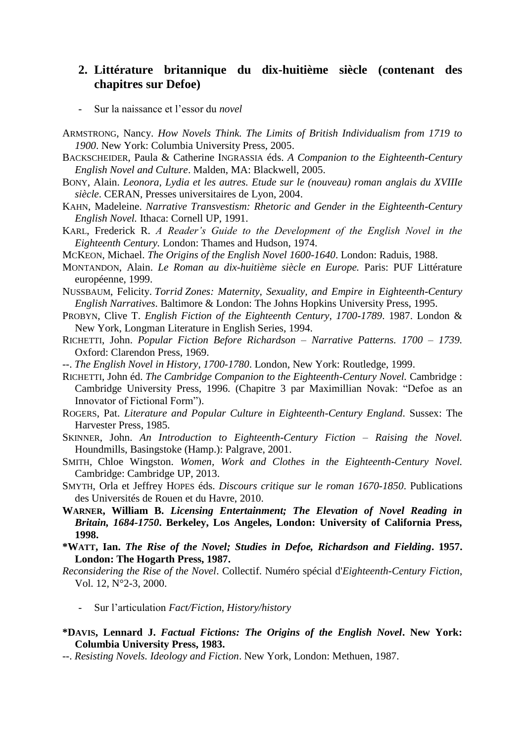# **2. Littérature britannique du dix-huitième siècle (contenant des chapitres sur Defoe)**

- *-* Sur la naissance et l'essor du *novel*
- ARMSTRONG, Nancy. *How Novels Think. The Limits of British Individualism from 1719 to 1900*. New York: Columbia University Press, 2005.
- BACKSCHEIDER, Paula & Catherine INGRASSIA éds. *A Companion to the Eighteenth-Century English Novel and Culture*. Malden, MA: Blackwell, 2005.
- BONY, Alain. *Leonora, Lydia et les autres. Etude sur le (nouveau) roman anglais du XVIIIe siècle*. CERAN, Presses universitaires de Lyon, 2004.
- KAHN, Madeleine. *Narrative Transvestism: Rhetoric and Gender in the Eighteenth-Century English Novel.* Ithaca: Cornell UP, 1991.
- KARL, Frederick R. *A Reader's Guide to the Development of the English Novel in the Eighteenth Century.* London: Thames and Hudson, 1974.
- MCKEON, Michael. *The Origins of the English Novel 1600-1640*. London: Raduis, 1988.
- MONTANDON, Alain. *Le Roman au dix-huitième siècle en Europe.* Paris: PUF Littérature européenne, 1999.
- NUSSBAUM, Felicity. *Torrid Zones: Maternity, Sexuality, and Empire in Eighteenth-Century English Narratives*. Baltimore & London: The Johns Hopkins University Press, 1995.
- PROBYN, Clive T. *English Fiction of the Eighteenth Century, 1700-1789*. 1987. London & New York, Longman Literature in English Series, 1994.
- RICHETTI, John. *Popular Fiction Before Richardson – Narrative Patterns. 1700 – 1739.* Oxford: Clarendon Press, 1969.
- --. *The English Novel in History*, *1700-1780*. London, New York: Routledge, 1999.
- RICHETTI, John éd. *The Cambridge Companion to the Eighteenth-Century Novel.* Cambridge : Cambridge University Press, 1996. (Chapitre 3 par Maximillian Novak: "Defoe as an Innovator of Fictional Form").
- ROGERS, Pat. *Literature and Popular Culture in Eighteenth-Century England*. Sussex: The Harvester Press, 1985.
- SKINNER, John. *An Introduction to Eighteenth-Century Fiction – Raising the Novel.* Houndmills, Basingstoke (Hamp.): Palgrave, 2001.
- SMITH, Chloe Wingston. *Women, Work and Clothes in the Eighteenth-Century Novel.* Cambridge: Cambridge UP, 2013.
- SMYTH, Orla et Jeffrey HOPES éds. *Discours critique sur le roman 1670-1850*. Publications des Universités de Rouen et du Havre, 2010.
- **WARNER, William B.** *Licensing Entertainment; The Elevation of Novel Reading in Britain, 1684-1750***. Berkeley, Los Angeles, London: University of California Press, 1998.**
- **\*WATT, Ian.** *The Rise of the Novel; Studies in Defoe, Richardson and Fielding***. 1957. London: The Hogarth Press, 1987.**
- *Reconsidering the Rise of the Novel*. Collectif. Numéro spécial d'*Eighteenth-Century Fiction*, Vol. 12, N°2-3, 2000.
	- *-* Sur l'articulation *Fact/Fiction*, *History/history*
- **\*DAVIS, Lennard J.** *Factual Fictions: The Origins of the English Novel***. New York: Columbia University Press, 1983.**
- --. *Resisting Novels. Ideology and Fiction*. New York, London: Methuen, 1987.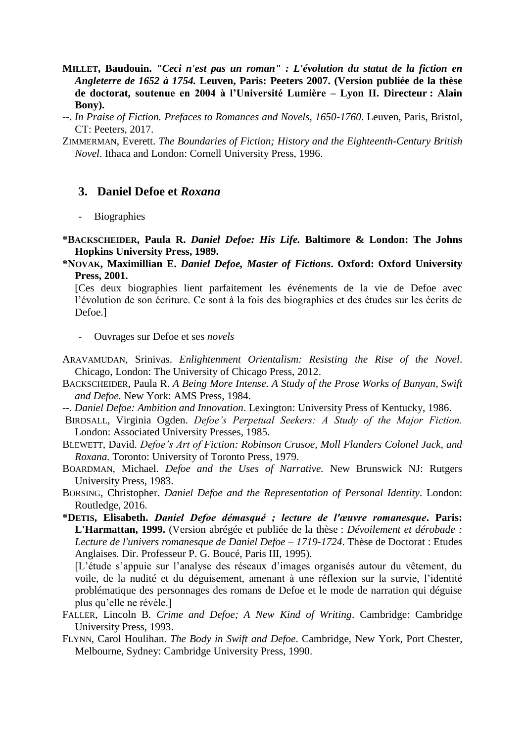- **MILLET, Baudouin.** *"Ceci n'est pas un roman" : L'évolution du statut de la fiction en Angleterre de 1652 à 1754.* **Leuven, Paris: Peeters 2007. (Version publiée de la thèse de doctorat, soutenue en 2004 à l'Université Lumière – Lyon II. Directeur : Alain Bony).**
- --. *In Praise of Fiction. Prefaces to Romances and Novels, 1650-1760*. Leuven, Paris, Bristol, CT: Peeters, 2017.
- ZIMMERMAN, Everett. *The Boundaries of Fiction; History and the Eighteenth-Century British Novel*. Ithaca and London: Cornell University Press, 1996.

# **3. Daniel Defoe et** *Roxana*

- *-* Biographies
- **\*BACKSCHEIDER, Paula R.** *Daniel Defoe: His Life.* **Baltimore & London: The Johns Hopkins University Press, 1989.**
- **\*NOVAK, Maximillian E.** *Daniel Defoe, Master of Fictions***. Oxford: Oxford University Press, 2001.**

[Ces deux biographies lient parfaitement les événements de la vie de Defoe avec l'évolution de son écriture. Ce sont à la fois des biographies et des études sur les écrits de Defoe.]

- *-* Ouvrages sur Defoe et ses *novels*
- ARAVAMUDAN, Srinivas. *Enlightenment Orientalism: Resisting the Rise of the Novel*. Chicago, London: The University of Chicago Press, 2012.
- BACKSCHEIDER, Paula R. *A Being More Intense. A Study of the Prose Works of Bunyan, Swift and Defoe.* New York: AMS Press, 1984.
- --. *Daniel Defoe: Ambition and Innovation*. Lexington: University Press of Kentucky, 1986.
- BIRDSALL, Virginia Ogden. *Defoe's Perpetual Seekers: A Study of the Major Fiction.* London: Associated University Presses, 1985.
- BLEWETT, David. *Defoe's Art of Fiction: Robinson Crusoe, Moll Flanders Colonel Jack, and Roxana.* Toronto: University of Toronto Press, 1979.
- BOARDMAN, Michael. *Defoe and the Uses of Narrative.* New Brunswick NJ: Rutgers University Press, 1983.
- BORSING, Christopher. *Daniel Defoe and the Representation of Personal Identity*. London: Routledge, 2016.
- **\*DETIS, Elisabeth.** *Daniel Defoe démasqué ; lecture de l'œuvre romanesque***. Paris: L'Harmattan, 1999.** (Version abrégée et publiée de la thèse : *Dévoilement et dérobade : Lecture de l'univers romanesque de Daniel Defoe – 1719-1724*. Thèse de Doctorat : Etudes Anglaises. Dir. Professeur P. G. Boucé, Paris III, 1995).

[L'étude s'appuie sur l'analyse des réseaux d'images organisés autour du vêtement, du voile, de la nudité et du déguisement, amenant à une réflexion sur la survie, l'identité problématique des personnages des romans de Defoe et le mode de narration qui déguise plus qu'elle ne révèle.]

- FALLER, Lincoln B. *Crime and Defoe; A New Kind of Writing*. Cambridge: Cambridge University Press, 1993.
- FLYNN, Carol Houlihan. *The Body in Swift and Defoe*. Cambridge, New York, Port Chester, Melbourne, Sydney: Cambridge University Press, 1990.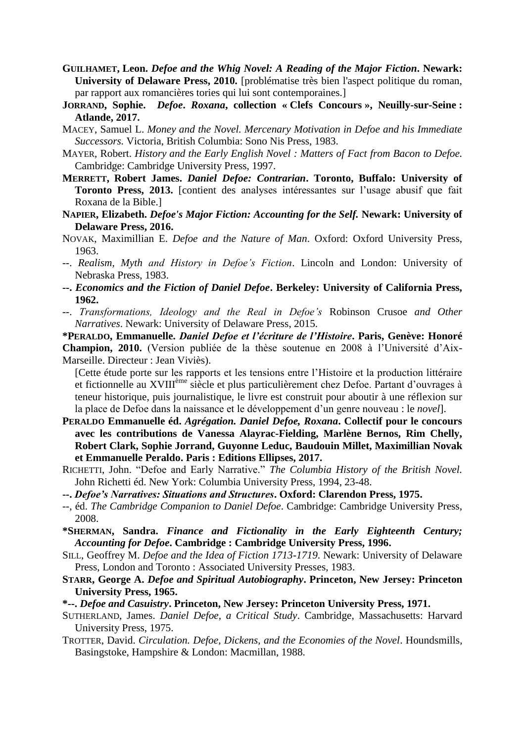- **GUILHAMET, Leon.** *Defoe and the Whig Novel: A Reading of the Major Fiction***. Newark: University of Delaware Press, 2010.** [problématise très bien l'aspect politique du roman, par rapport aux romancières tories qui lui sont contemporaines.]
- **JORRAND, Sophie.** *Defoe***.** *Roxana***, collection « Clefs Concours », Neuilly-sur-Seine : Atlande, 2017.**
- MACEY, Samuel L. *Money and the Novel. Mercenary Motivation in Defoe and his Immediate Successors.* Victoria, British Columbia: Sono Nis Press, 1983.
- MAYER, Robert. *History and the Early English Novel : Matters of Fact from Bacon to Defoe.* Cambridge: Cambridge University Press, 1997.
- **MERRETT, Robert James.** *Daniel Defoe: Contrarian***. Toronto, Buffalo: University of Toronto Press, 2013.** [contient des analyses intéressantes sur l'usage abusif que fait Roxana de la Bible.]
- **NAPIER, Elizabeth.** *Defoe's Major Fiction: Accounting for the Self.* **Newark: University of Delaware Press, 2016.**
- NOVAK, Maximillian E. *Defoe and the Nature of Man*. Oxford: Oxford University Press, 1963.
- --. *Realism, Myth and History in Defoe's Fiction*. Lincoln and London: University of Nebraska Press, 1983.
- **--.** *Economics and the Fiction of Daniel Defoe***. Berkeley: University of California Press, 1962.**
- --. *Transformations, Ideology and the Real in Defoe's* Robinson Crusoe *and Other Narratives*. Newark: University of Delaware Press, 2015.

**\*PERALDO, Emmanuelle.** *Daniel Defoe et l'écriture de l'Histoire***. Paris, Genève: Honoré Champion, 2010.** (Version publiée de la thèse soutenue en 2008 à l'Université d'Aix-Marseille. Directeur : Jean Viviès).

[Cette étude porte sur les rapports et les tensions entre l'Histoire et la production littéraire et fictionnelle au XVIIIème siècle et plus particulièrement chez Defoe. Partant d'ouvrages à teneur historique, puis journalistique, le livre est construit pour aboutir à une réflexion sur la place de Defoe dans la naissance et le développement d'un genre nouveau : le *novel*].

- **PERALDO Emmanuelle éd.** *Agrégation. Daniel Defoe, Roxana***. Collectif pour le concours avec les contributions de Vanessa Alayrac-Fielding, Marlène Bernos, Rim Chelly, Robert Clark, Sophie Jorrand, Guyonne Leduc, Baudouin Millet, Maximillian Novak et Emmanuelle Peraldo. Paris : Editions Ellipses, 2017.**
- RICHETTI, John. "Defoe and Early Narrative." *The Columbia History of the British Novel.* John Richetti éd. New York: Columbia University Press, 1994, 23-48.
- **--.** *Defoe's Narratives: Situations and Structures***. Oxford: Clarendon Press, 1975.**
- --, éd. *The Cambridge Companion to Daniel Defoe*. Cambridge: Cambridge University Press, 2008.
- **\*SHERMAN, Sandra.** *Finance and Fictionality in the Early Eighteenth Century; Accounting for Defoe***. Cambridge : Cambridge University Press, 1996.**
- SILL, Geoffrey M. *Defoe and the Idea of Fiction 1713-1719*. Newark: University of Delaware Press, London and Toronto : Associated University Presses, 1983.
- **STARR, George A.** *Defoe and Spiritual Autobiography***. Princeton, New Jersey: Princeton University Press, 1965.**
- **\*--.** *Defoe and Casuistry***. Princeton, New Jersey: Princeton University Press, 1971.**
- SUTHERLAND, James. *Daniel Defoe, a Critical Study*. Cambridge, Massachusetts: Harvard University Press, 1975.
- TROTTER, David. *Circulation. Defoe, Dickens, and the Economies of the Novel*. Houndsmills, Basingstoke, Hampshire & London: Macmillan, 1988.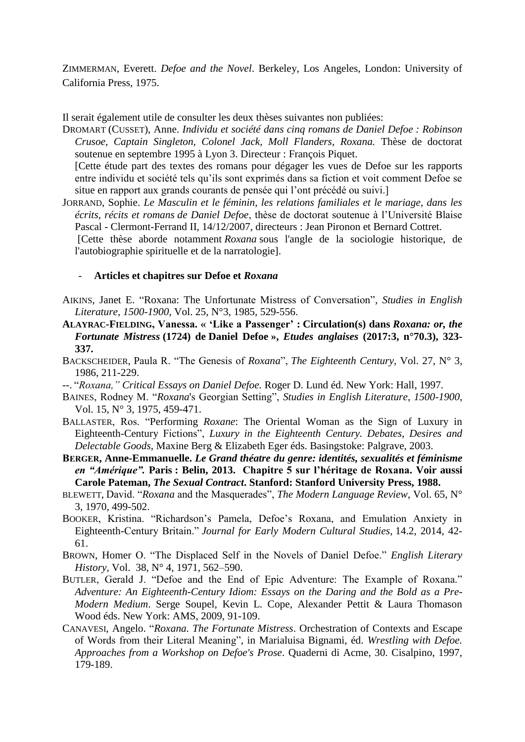ZIMMERMAN, Everett. *Defoe and the Novel*. Berkeley, Los Angeles, London: University of California Press, 1975.

Il serait également utile de consulter les deux thèses suivantes non publiées:

DROMART (CUSSET), Anne. *Individu et société dans cinq romans de Daniel Defoe : Robinson Crusoe, Captain Singleton, Colonel Jack, Moll Flanders, Roxana.* Thèse de doctorat soutenue en septembre 1995 à Lyon 3. Directeur : François Piquet.

[Cette étude part des textes des romans pour dégager les vues de Defoe sur les rapports entre individu et société tels qu'ils sont exprimés dans sa fiction et voit comment Defoe se situe en rapport aux grands courants de pensée qui l'ont précédé ou suivi.]

JORRAND, Sophie. *Le Masculin et le féminin, les relations familiales et le mariage, dans les écrits, récits et romans de Daniel Defoe*, thèse de doctorat soutenue à l'Université Blaise Pascal - Clermont-Ferrand II, 14/12/2007, directeurs : Jean Pironon et Bernard Cottret.

[Cette thèse aborde notamment *Roxana* sous l'angle de la sociologie historique, de l'autobiographie spirituelle et de la narratologie].

#### *-* **Articles et chapitres sur Defoe et** *Roxana*

- AIKINS, Janet E. "Roxana: The Unfortunate Mistress of Conversation", *Studies in English Literature, 1500-1900*, Vol. 25, N°3, 1985, 529-556.
- **ALAYRAC-FIELDING, Vanessa. « 'Like a Passenger' : Circulation(s) dans** *Roxana: or, the Fortunate Mistress* **(1724) de Daniel Defoe »,** *Etudes anglaises* **(2017:3, n°70.3), 323- 337.**
- BACKSCHEIDER, Paula R. "The Genesis of *Roxana*", *The Eighteenth Century*, Vol. 27, N° 3, 1986, 211-229.
- --. "*Roxana," Critical Essays on Daniel Defoe.* Roger D. Lund éd. New York: Hall, 1997.
- BAINES, Rodney M. "*Roxana*'s Georgian Setting", *Studies in English Literature, 1500-1900*, Vol. 15, N° 3, 1975, 459-471.
- BALLASTER, Ros. "Performing *Roxane*: The Oriental Woman as the Sign of Luxury in Eighteenth-Century Fictions", *Luxury in the Eighteenth Century. Debates, Desires and Delectable Goods*, Maxine Berg & Elizabeth Eger éds. Basingstoke: Palgrave, 2003.
- **BERGER, Anne-Emmanuelle.** *Le Grand théatre du genre: identités, sexualités et féminisme en "Amérique".* **Paris : Belin, 2013. Chapitre 5 sur l'héritage de Roxana. Voir aussi Carole Pateman,** *The Sexual Contract***. Stanford: Stanford University Press, 1988.**
- BLEWETT, David. "*Roxana* and the Masquerades", *The Modern Language Review*, Vol. 65, N° 3, 1970, 499-502.
- BOOKER, Kristina. "Richardson's Pamela, Defoe's Roxana, and Emulation Anxiety in Eighteenth-Century Britain." *Journal for Early Modern Cultural Studies,* 14.2, 2014, 42- 61.
- BROWN, Homer O. "The Displaced Self in the Novels of Daniel Defoe." *English Literary History*, Vol. 38, N° 4, 1971, 562–590.
- BUTLER, Gerald J. "Defoe and the End of Epic Adventure: The Example of Roxana." *Adventure: An Eighteenth-Century Idiom: Essays on the Daring and the Bold as a Pre-Modern Medium*. Serge Soupel, Kevin L. Cope, Alexander Pettit & Laura Thomason Wood éds. New York: AMS, 2009, 91-109.
- CANAVESI, Angelo. "*Roxana. The Fortunate Mistress*. Orchestration of Contexts and Escape of Words from their Literal Meaning", in Marialuisa Bignami, éd. *Wrestling with Defoe. Approaches from a Workshop on Defoe's Prose*. Quaderni di Acme, 30. Cisalpino, 1997, 179-189.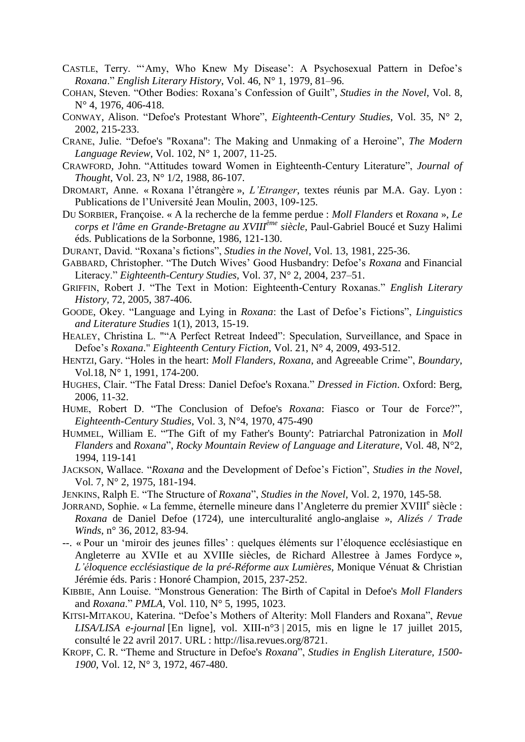- CASTLE, Terry. "'Amy, Who Knew My Disease': A Psychosexual Pattern in Defoe's *Roxana*." *English Literary History*, Vol. 46, N° 1, 1979, 81–96.
- COHAN, Steven. "Other Bodies: Roxana's Confession of Guilt", *Studies in the Novel*, Vol. 8, N° 4, 1976, 406-418.
- CONWAY, Alison. "Defoe's Protestant Whore", *Eighteenth-Century Studies*, Vol. 35, N° 2, 2002, 215-233.
- CRANE, Julie. "Defoe's "Roxana": The Making and Unmaking of a Heroine", *The Modern Language Review*, Vol. 102, N° 1, 2007, 11-25.
- CRAWFORD, John. "Attitudes toward Women in Eighteenth-Century Literature", *Journal of Thought*, Vol. 23, N° 1/2, 1988, 86-107.
- DROMART, Anne. « Roxana l'étrangère », *L'Etranger*, textes réunis par M.A. Gay. Lyon : Publications de l'Université Jean Moulin, 2003, 109-125.
- DU SORBIER, Françoise. « A la recherche de la femme perdue : *Moll Flanders* et *Roxana* », *Le corps et l'âme en Grande-Bretagne au XVIIIème siècle*, Paul-Gabriel Boucé et Suzy Halimi éds. Publications de la Sorbonne, 1986, 121-130.
- DURANT, David. "Roxana's fictions", *Studies in the Novel*, Vol. 13, 1981, 225-36.
- GABBARD, Christopher. "The Dutch Wives' Good Husbandry: Defoe's *Roxana* and Financial Literacy." *Eighteenth-Century Studies,* Vol. 37, N° 2, 2004, 237–51.
- GRIFFIN, Robert J. "The Text in Motion: Eighteenth-Century Roxanas." *English Literary History,* 72, 2005, 387-406.
- GOODE, Okey. "Language and Lying in *Roxana*: the Last of Defoe's Fictions", *Linguistics and Literature Studies* 1(1), 2013, 15-19.
- HEALEY, Christina L. ""A Perfect Retreat Indeed": Speculation, Surveillance, and Space in Defoe's *Roxana*." *Eighteenth Century Fiction,* Vol. 21, N° 4, 2009, 493-512.
- HENTZI, Gary. "Holes in the heart: *Moll Flanders, Roxana*, and Agreeable Crime", *Boundary*, Vol.18, N° 1, 1991, 174-200.
- HUGHES, Clair. "The Fatal Dress: Daniel Defoe's Roxana." *Dressed in Fiction*. Oxford: Berg, 2006, 11-32.
- HUME, Robert D. "The Conclusion of Defoe's *Roxana*: Fiasco or Tour de Force?", *Eighteenth-Century Studies*, Vol. 3, N°4, 1970, 475-490
- HUMMEL, William E. "'The Gift of my Father's Bounty': Patriarchal Patronization in *Moll Flanders* and *Roxana*", *Rocky Mountain Review of Language and Literature*, Vol. 48, N°2, 1994, 119-141
- JACKSON, Wallace. "*Roxana* and the Development of Defoe's Fiction", *Studies in the Novel*, Vol. 7, N° 2, 1975, 181-194.
- JENKINS, Ralph E. "The Structure of *Roxana*", *Studies in the Novel*, Vol. 2, 1970, 145-58.
- JORRAND, Sophie. « La femme, éternelle mineure dans l'Angleterre du premier XVIII<sup>e</sup> siècle : *Roxana* de Daniel Defoe (1724), une interculturalité anglo-anglaise », *Alizés / Trade Winds*, n° 36, 2012, 83-94.
- --. « Pour un 'miroir des jeunes filles' : quelques éléments sur l'éloquence ecclésiastique en Angleterre au XVIIe et au XVIIIe siècles, de Richard Allestree à James Fordyce », *L'éloquence ecclésiastique de la pré-Réforme aux Lumières*, Monique Vénuat & Christian Jérémie éds. Paris : Honoré Champion, 2015, 237-252.
- KIBBIE, Ann Louise. "Monstrous Generation: The Birth of Capital in Defoe's *Moll Flanders*  and *Roxana*." *PMLA,* Vol. 110, N° 5, 1995, 1023.
- KITSI-MITAKOU, Katerina. "Defoe's Mothers of Alterity: Moll Flanders and Roxana", *Revue LISA/LISA e-journal* [En ligne], vol. XIII-n°3 | 2015, mis en ligne le 17 juillet 2015, consulté le 22 avril 2017. URL : http://lisa.revues.org/8721.
- KROPF, C. R. "Theme and Structure in Defoe's *Roxana*", *Studies in English Literature, 1500- 1900*, Vol. 12, N° 3, 1972, 467-480.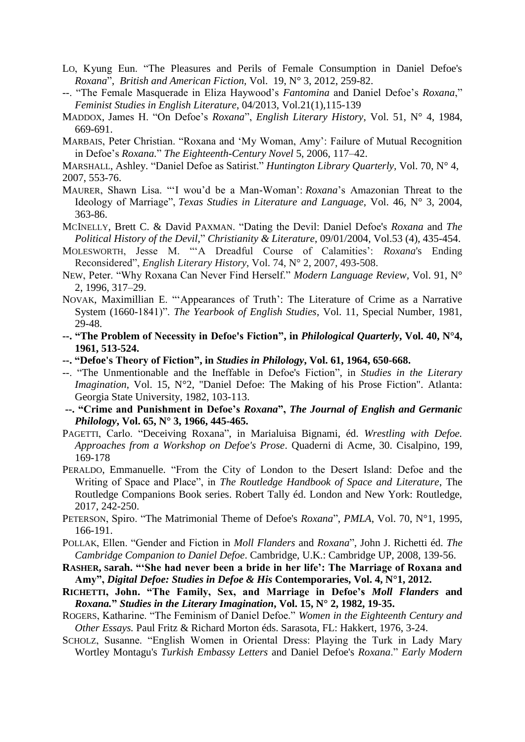- LO, Kyung Eun. "The Pleasures and Perils of Female Consumption in Daniel Defoe's *Roxana*", *British and American Fiction,* Vol.19, N° 3, 2012, 259-82.
- --. "The Female Masquerade in Eliza Haywood's *Fantomina* and Daniel Defoe's *Roxana*," *Feminist Studies in English Literature*, 04/2013, Vol.21(1),115-139
- MADDOX, James H. "On Defoe's *Roxana*", *English Literary History*, Vol. 51, N° 4, 1984, 669-691.
- MARBAIS, Peter Christian. "Roxana and 'My Woman, Amy': Failure of Mutual Recognition in Defoe's *Roxana.*" *The Eighteenth-Century Novel* 5, 2006, 117–42.
- MARSHALL, Ashley. "Daniel Defoe as Satirist." *Huntington Library Quarterly,* Vol. 70, N° 4, 2007, 553-76.
- MAURER, Shawn Lisa. "'I wou'd be a Man-Woman': *Roxana*'s Amazonian Threat to the Ideology of Marriage", *Texas Studies in Literature and Language*, Vol. 46, N° 3, 2004, 363-86.
- MCINELLY, Brett C. & David PAXMAN. "Dating the Devil: Daniel Defoe's *Roxana* and *The Political History of the Devil*," *Christianity & Literature*, 09/01/2004, Vol.53 (4), 435-454.
- MOLESWORTH, Jesse M. "'A Dreadful Course of Calamities': *Roxana*'s Ending Reconsidered", *English Literary History*, Vol. 74, N° 2, 2007, 493-508.
- NEW, Peter. "Why Roxana Can Never Find Herself." *Modern Language Review,* Vol. 91, N° 2, 1996, 317–29.
- NOVAK, Maximillian E. "'Appearances of Truth': The Literature of Crime as a Narrative System (1660-1841)". *The Yearbook of English Studies*, Vol. 11, Special Number, 1981, 29-48.
- **--. "The Problem of Necessity in Defoe's Fiction", in** *Philological Quarterly***, Vol. 40, N°4, 1961, 513-524.**
- **--. "Defoe's Theory of Fiction", in** *Studies in Philology***, Vol. 61, 1964, 650-668.**
- --. "The Unmentionable and the Ineffable in Defoe's Fiction", in *Studies in the Literary Imagination*, Vol. 15, N°2, "Daniel Defoe: The Making of his Prose Fiction". Atlanta: Georgia State University, 1982, 103-113.
- **--. "Crime and Punishment in Defoe's** *Roxana***",** *The Journal of English and Germanic Philology***, Vol. 65, N° 3, 1966, 445-465.**
- PAGETTI, Carlo. "Deceiving Roxana", in Marialuisa Bignami, éd. *Wrestling with Defoe. Approaches from a Workshop on Defoe's Prose*. Quaderni di Acme, 30. Cisalpino, 199, 169-178
- PERALDO, Emmanuelle. "From the City of London to the Desert Island: Defoe and the Writing of Space and Place", in *The Routledge Handbook of Space and Literature*, The Routledge Companions Book series. Robert Tally éd. London and New York: Routledge, 2017, 242-250.
- PETERSON, Spiro. "The Matrimonial Theme of Defoe's *Roxana*", *PMLA*, Vol. 70, N°1, 1995, 166-191.
- POLLAK, Ellen. "Gender and Fiction in *Moll Flanders* and *Roxana*", John J. Richetti éd. *The Cambridge Companion to Daniel Defoe*. Cambridge, U.K.: Cambridge UP, 2008, 139-56.
- **RASHER, Sarah. "'She had never been a bride in her life': The Marriage of Roxana and Amy",** *Digital Defoe: Studies in Defoe & His* **Contemporaries, Vol. 4, N°1, 2012.**
- **RICHETTI, John. "The Family, Sex, and Marriage in Defoe's** *Moll Flanders* **and** *Roxana.***"** *Studies in the Literary Imagination***, Vol. 15, N° 2, 1982, 19-35.**
- ROGERS, Katharine. "The Feminism of Daniel Defoe." *Women in the Eighteenth Century and Other Essays.* Paul Fritz & Richard Morton éds. Sarasota, FL: Hakkert, 1976, 3-24.
- SCHOLZ, Susanne. "English Women in Oriental Dress: Playing the Turk in Lady Mary Wortley Montagu's *Turkish Embassy Letters* and Daniel Defoe's *Roxana*." *Early Modern*